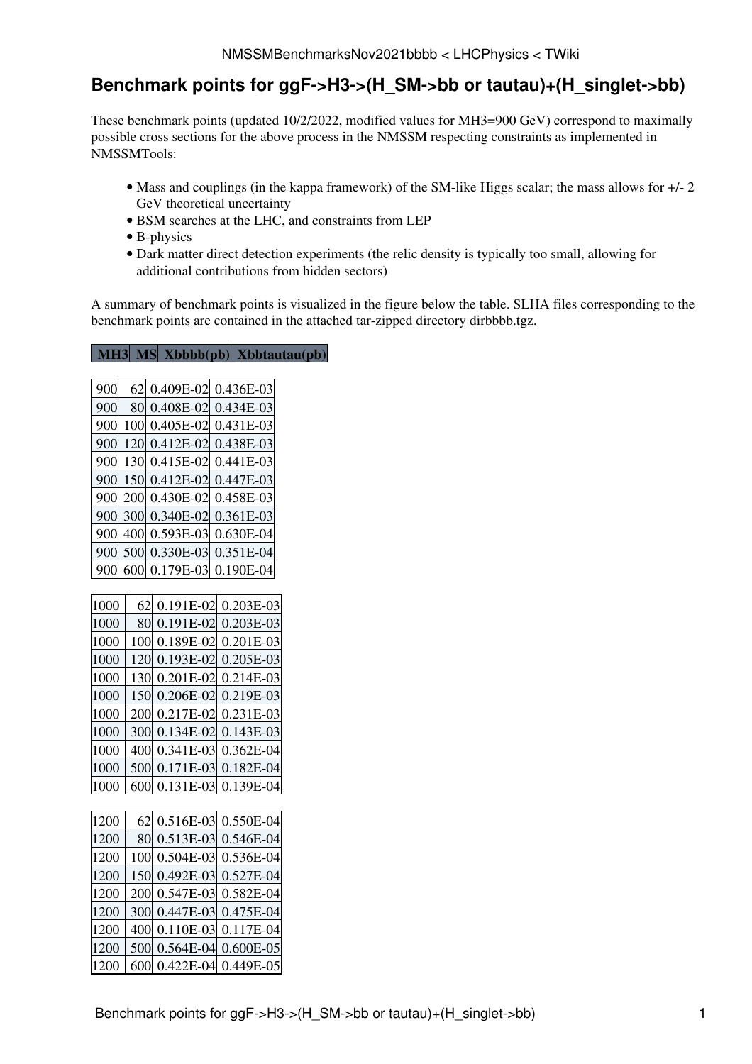## **Benchmark points for ggF->H3->(H\_SM->bb or tautau)+(H\_singlet->bb)**

These benchmark points (updated 10/2/2022, modified values for MH3=900 [GeV\)](https://twiki.cern.ch/twiki/bin/edit/LHCPhysics/GeV?topicparent=LHCPhysics.NMSSMBenchmarksNov2021bbbb;nowysiwyg=1) correspond to maximally possible cross sections for the above process in the NMSSM respecting constraints as implemented in NMSSMTools:

- Mass and couplings (in the kappa framework) of the SM-like Higgs scalar; the mass allows for  $+/- 2$ [GeV](https://twiki.cern.ch/twiki/bin/edit/LHCPhysics/GeV?topicparent=LHCPhysics.NMSSMBenchmarksNov2021bbbb;nowysiwyg=1) theoretical uncertainty
- [BSM](https://twiki.cern.ch/twiki/bin/view/LHCPhysics/BSM) searches at the LHC, and constraints from LEP
- B-physics
- Dark matter direct detection experiments (the relic density is typically too small, allowing for additional contributions from hidden sectors)

A summary of benchmark points is visualized in the figure below the table. SLHA files corresponding to the benchmark points are contained in the attached tar-zipped directory dirbbbb.tgz.

## **[MH3](https://twiki.cern.ch/twiki/bin/genpdf/LHCPhysics/NMSSMBenchmarksNov2021bbbb?skin=pattern;cover=print;sortcol=0;table=1;up=0#sorted_table) [MS](https://twiki.cern.ch/twiki/bin/genpdf/LHCPhysics/NMSSMBenchmarksNov2021bbbb?skin=pattern;cover=print;sortcol=1;table=1;up=0#sorted_table) [Xbbbb\(pb\)](https://twiki.cern.ch/twiki/bin/genpdf/LHCPhysics/NMSSMBenchmarksNov2021bbbb?skin=pattern;cover=print;sortcol=2;table=1;up=0#sorted_table) [Xbbtautau\(pb\)](https://twiki.cern.ch/twiki/bin/genpdf/LHCPhysics/NMSSMBenchmarksNov2021bbbb?skin=pattern;cover=print;sortcol=3;table=1;up=0#sorted_table)**

| 900  | 62  | 0.409E-02 | 0.436E-03   |
|------|-----|-----------|-------------|
| 900  | 80  | 0.408E-02 | 0.434E-03   |
| 900  | 100 | 0.405E-02 | 0.431E-03   |
| 900  | 120 | 0.412E-02 | 0.438E-03   |
| 900  | 130 | 0.415E-02 | 0.441E-03   |
| 900  | 150 | 0.412E-02 | 0.447E-03   |
| 900  | 200 | 0.430E-02 | 0.458E-03   |
| 900  | 300 | 0.340E-02 | 0.361E-03   |
| 900  | 400 | 0.593E-03 | 0.630E-04   |
| 900  | 500 | 0.330E-03 | 0.351E-04   |
| 900  | 600 | 0.179E-03 | 0.190E-04   |
|      |     |           |             |
| 1000 | 62  | 0.191E-02 | 0.203E-03   |
| 1000 | 80  | 0.191E-02 | 0.203E-03   |
| 1000 | 100 | 0.189E-02 | 0.201E-03   |
| 1000 | 120 | 0.193E-02 | 0.205E-03   |
| 1000 | 130 | 0.201E-02 | 0.214E-03   |
| 1000 | 150 | 0.206E-02 | 0.219E-03   |
| 1000 | 200 | 0.217E-02 | 0.231E-03   |
| 1000 | 300 | 0.134E-02 | $0.143E-03$ |
| 1000 | 400 | 0.341E-03 | 0.362E-04   |
| 1000 | 500 | 0.171E-03 | 0.182E-04   |
| 1000 | 600 | 0.131E-03 | 0.139E-04   |
|      |     |           |             |
| 1200 | 62  | 0.516E-03 | 0.550E-04   |
| 1200 | 80  | 0.513E-03 | 0.546E-04   |
| 1200 | 100 | 0.504E-03 | 0.536E-04   |
| 1200 | 150 | 0.492E-03 | 0.527E-04   |
| 1200 | 200 | 0.547E-03 | 0.582E-04   |
| 1200 | 300 | 0.447E-03 | 0.475E-04   |

 400 0.110E-03 0.117E-04 500 0.564E-04 0.600E-05 600 0.422E-04 0.449E-05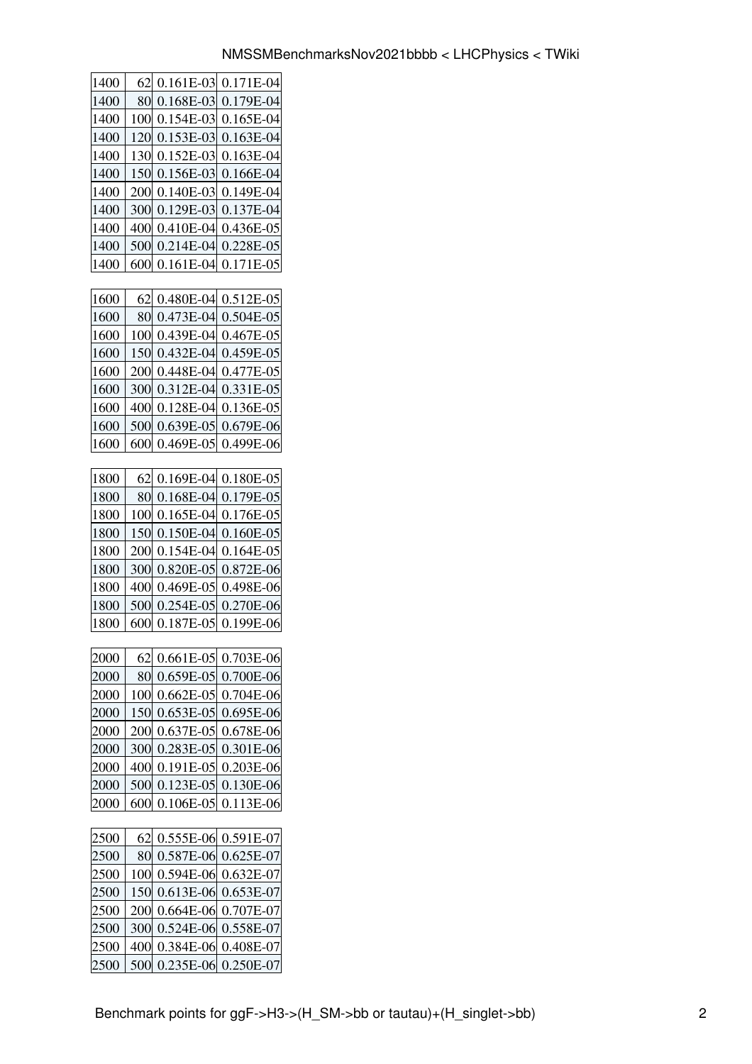| 1400 | 62  | $0.161E-03$ | 0.171E-04 |
|------|-----|-------------|-----------|
| 1400 | 80  | 0.168E-03   | 0.179E-04 |
| 1400 | 100 | 0.154E-03   | 0.165E-04 |
| 1400 | 120 | 0.153E-03   | 0.163E-04 |
| 1400 | 130 | $0.152E-03$ | 0.163E-04 |
| 1400 | 150 | 0.156E-03   | 0.166E-04 |
| 1400 | 200 | 0.140E-03   | 0.149E-04 |
| 1400 | 300 | 0.129E-03   | 0.137E-04 |
| 1400 | 400 | 0.410E-04   | 0.436E-05 |
| 1400 | 500 | $0.214E-04$ | 0.228E-05 |
| 1400 | 600 | 0.161E-04   | 0.171E-05 |
|      |     |             |           |
| 1600 | 62  | $0.480E-04$ | 0.512E-05 |
| 1600 | 80  | 0.473E-04   | 0.504E-05 |
| 1600 | 100 | 0.439E-04   | 0.467E-05 |
| 1600 | 150 | 0.432E-04   | 0.459E-05 |
| 1600 | 200 | 0.448E-04   | 0.477E-05 |
| 1600 | 300 | 0.312E-04   | 0.331E-05 |
| 1600 | 400 | 0.128E-04   | 0.136E-05 |
| 1600 | 500 | 0.639E-05   | 0.679E-06 |
| 1600 | 600 | 0.469E-05   | 0.499E-06 |
|      |     |             |           |
| 1800 | 62  | 0.169E-04   | 0.180E-05 |
| 1800 | 80  | 0.168E-04   | 0.179E-05 |
| 1800 | 100 | 0.165E-04   | 0.176E-05 |
| 1800 | 150 | 0.150E-04   | 0.160E-05 |
| 1800 | 200 | $0.154E-04$ | 0.164E-05 |
| 1800 | 300 | 0.820E-05   | 0.872E-06 |
| 1800 | 400 | 0.469E-05   | 0.498E-06 |
| 1800 | 500 | 0.254E-05   | 0.270E-06 |
| 1800 | 600 | 0.187E-05   | 0.199E-06 |
|      |     |             |           |
| 2000 | 62  | 0.661E-05   | 0.703E-06 |
| 2000 | 80  | 0.659E-05   | 0.700E-06 |
| 2000 | 100 | $0.662E-05$ | 0.704E-06 |
| 2000 | 150 | 0.653E-05   | 0.695E-06 |
| 2000 | 200 | 0.637E-05   | 0.678E-06 |
| 2000 | 300 | 0.283E-05   | 0.301E-06 |
| 2000 | 400 | 0.191E-05   | 0.203E-06 |
| 2000 | 500 | 0.123E-05   | 0.130E-06 |
| 2000 | 600 | 0.106E-05   | 0.113E-06 |
|      |     |             |           |
| 2500 | 62  | 0.555E-06   | 0.591E-07 |
| 2500 | 80  | 0.587E-06   | 0.625E-07 |
| 2500 | 100 | 0.594E-06   | 0.632E-07 |
| 2500 | 150 | $0.613E-06$ | 0.653E-07 |
| 2500 | 200 | 0.664E-06   | 0.707E-07 |
| 2500 | 300 | 0.524E-06   | 0.558E-07 |
| 2500 | 400 | 0.384E-06   | 0.408E-07 |
| 2500 | 500 | 0.235E-06   | 0.250E-07 |
|      |     |             |           |